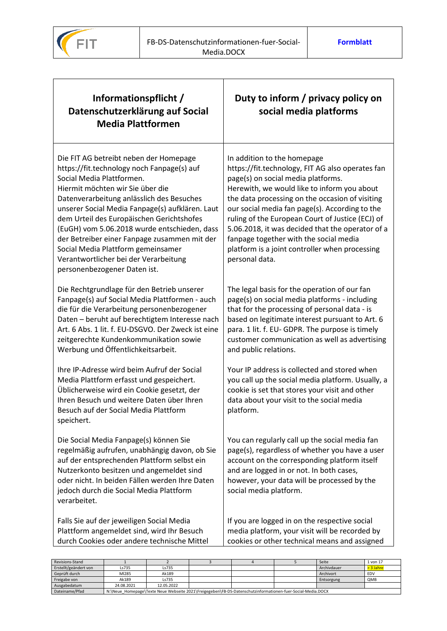

| Informationspflicht /<br>Datenschutzerklärung auf Social<br><b>Media Plattformen</b>                                                                                                                                                                                                                                                                                                                                                                                                                              | Duty to inform / privacy policy on<br>social media platforms                                                                                                                                                                                                                                                                                                                                                                                                                                    |
|-------------------------------------------------------------------------------------------------------------------------------------------------------------------------------------------------------------------------------------------------------------------------------------------------------------------------------------------------------------------------------------------------------------------------------------------------------------------------------------------------------------------|-------------------------------------------------------------------------------------------------------------------------------------------------------------------------------------------------------------------------------------------------------------------------------------------------------------------------------------------------------------------------------------------------------------------------------------------------------------------------------------------------|
| Die FIT AG betreibt neben der Homepage<br>https://fit.technology noch Fanpage(s) auf<br>Social Media Plattformen.<br>Hiermit möchten wir Sie über die<br>Datenverarbeitung anlässlich des Besuches<br>unserer Social Media Fanpage(s) aufklären. Laut<br>dem Urteil des Europäischen Gerichtshofes<br>(EuGH) vom 5.06.2018 wurde entschieden, dass<br>der Betreiber einer Fanpage zusammen mit der<br>Social Media Plattform gemeinsamer<br>Verantwortlicher bei der Verarbeitung<br>personenbezogener Daten ist. | In addition to the homepage<br>https://fit.technology, FIT AG also operates fan<br>page(s) on social media platforms.<br>Herewith, we would like to inform you about<br>the data processing on the occasion of visiting<br>our social media fan page(s). According to the<br>ruling of the European Court of Justice (ECJ) of<br>5.06.2018, it was decided that the operator of a<br>fanpage together with the social media<br>platform is a joint controller when processing<br>personal data. |
| Die Rechtgrundlage für den Betrieb unserer<br>Fanpage(s) auf Social Media Plattformen - auch<br>die für die Verarbeitung personenbezogener<br>Daten - beruht auf berechtigtem Interesse nach<br>Art. 6 Abs. 1 lit. f. EU-DSGVO. Der Zweck ist eine<br>zeitgerechte Kundenkommunikation sowie<br>Werbung und Öffentlichkeitsarbeit.                                                                                                                                                                                | The legal basis for the operation of our fan<br>page(s) on social media platforms - including<br>that for the processing of personal data - is<br>based on legitimate interest pursuant to Art. 6<br>para. 1 lit. f. EU- GDPR. The purpose is timely<br>customer communication as well as advertising<br>and public relations.                                                                                                                                                                  |
| Ihre IP-Adresse wird beim Aufruf der Social<br>Media Plattform erfasst und gespeichert.<br>Üblicherweise wird ein Cookie gesetzt, der<br>Ihren Besuch und weitere Daten über Ihren<br>Besuch auf der Social Media Plattform<br>speichert.                                                                                                                                                                                                                                                                         | Your IP address is collected and stored when<br>you call up the social media platform. Usually, a<br>cookie is set that stores your visit and other<br>data about your visit to the social media<br>platform.                                                                                                                                                                                                                                                                                   |
| Die Social Media Fanpage(s) können Sie<br>regelmäßig aufrufen, unabhängig davon, ob Sie<br>auf der entsprechenden Plattform selbst ein<br>Nutzerkonto besitzen und angemeldet sind<br>oder nicht. In beiden Fällen werden Ihre Daten<br>jedoch durch die Social Media Plattform<br>verarbeitet.                                                                                                                                                                                                                   | You can regularly call up the social media fan<br>page(s), regardless of whether you have a user<br>account on the corresponding platform itself<br>and are logged in or not. In both cases,<br>however, your data will be processed by the<br>social media platform.                                                                                                                                                                                                                           |
| Falls Sie auf der jeweiligen Social Media<br>Plattform angemeldet sind, wird Ihr Besuch<br>durch Cookies oder andere technische Mittel                                                                                                                                                                                                                                                                                                                                                                            | If you are logged in on the respective social<br>media platform, your visit will be recorded by<br>cookies or other technical means and assigned                                                                                                                                                                                                                                                                                                                                                |

| Revisions-Stand       |                                                                                                             |            |  |  |  | Seite       | 1 von 17  |
|-----------------------|-------------------------------------------------------------------------------------------------------------|------------|--|--|--|-------------|-----------|
| Erstellt/geändert von | Ls735                                                                                                       | Ls735      |  |  |  | Archivdauer | > 3 Jahre |
| Geprüft durch         | MI285                                                                                                       | Ak189      |  |  |  | Archivort   | EDV       |
| Freigabe von          | Ak189                                                                                                       | Ls735      |  |  |  | Entsorgung  | QMB       |
| Ausgabedatum          | 24.08.2021                                                                                                  | 12.05.2022 |  |  |  |             |           |
| Dateiname/Pfad        | N:\Neue Homepage\Texte Neue Webseite 2021\Freigegeben\FB-DS-Datenschutzinformationen-fuer-Social-Media.DOCX |            |  |  |  |             |           |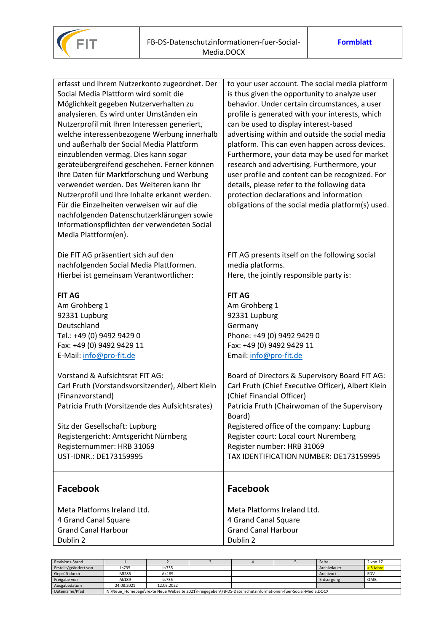

| erfasst und Ihrem Nutzerkonto zugeordnet. Der                                      | to your user account. The social media platform    |
|------------------------------------------------------------------------------------|----------------------------------------------------|
| Social Media Plattform wird somit die                                              | is thus given the opportunity to analyze user      |
| Möglichkeit gegeben Nutzerverhalten zu                                             | behavior. Under certain circumstances, a user      |
| analysieren. Es wird unter Umständen ein                                           | profile is generated with your interests, which    |
| Nutzerprofil mit Ihren Interessen generiert,                                       | can be used to display interest-based              |
| welche interessenbezogene Werbung innerhalb                                        | advertising within and outside the social media    |
| und außerhalb der Social Media Plattform                                           | platform. This can even happen across devices.     |
| einzublenden vermag. Dies kann sogar                                               | Furthermore, your data may be used for market      |
| geräteübergreifend geschehen. Ferner können                                        | research and advertising. Furthermore, your        |
| Ihre Daten für Marktforschung und Werbung                                          | user profile and content can be recognized. For    |
| verwendet werden. Des Weiteren kann Ihr                                            | details, please refer to the following data        |
| Nutzerprofil und Ihre Inhalte erkannt werden.                                      | protection declarations and information            |
| Für die Einzelheiten verweisen wir auf die                                         | obligations of the social media platform(s) used.  |
| nachfolgenden Datenschutzerklärungen sowie                                         |                                                    |
| Informationspflichten der verwendeten Social                                       |                                                    |
| Media Plattform(en).                                                               |                                                    |
|                                                                                    | FIT AG presents itself on the following social     |
| Die FIT AG präsentiert sich auf den                                                |                                                    |
| nachfolgenden Social Media Plattformen.<br>Hierbei ist gemeinsam Verantwortlicher: | media platforms.                                   |
|                                                                                    | Here, the jointly responsible party is:            |
| <b>FIT AG</b>                                                                      | <b>FIT AG</b>                                      |
| Am Grohberg 1                                                                      | Am Grohberg 1                                      |
| 92331 Lupburg                                                                      | 92331 Lupburg                                      |
| Deutschland                                                                        | Germany                                            |
| Tel.: +49 (0) 9492 9429 0                                                          | Phone: +49 (0) 9492 9429 0                         |
| Fax: +49 (0) 9492 9429 11                                                          | Fax: +49 (0) 9492 9429 11                          |
| E-Mail: info@pro-fit.de                                                            | Email: info@pro-fit.de                             |
| Vorstand & Aufsichtsrat FIT AG:                                                    | Board of Directors & Supervisory Board FIT AG:     |
| Carl Fruth (Vorstandsvorsitzender), Albert Klein                                   | Carl Fruth (Chief Executive Officer), Albert Klein |
| (Finanzvorstand)                                                                   | (Chief Financial Officer)                          |
| Patricia Fruth (Vorsitzende des Aufsichtsrates)                                    | Patricia Fruth (Chairwoman of the Supervisory      |
|                                                                                    | Board)                                             |
| Sitz der Gesellschaft: Lupburg                                                     | Registered office of the company: Lupburg          |
| Registergericht: Amtsgericht Nürnberg                                              | Register court: Local court Nuremberg              |
| Registernummer: HRB 31069                                                          | Register number: HRB 31069                         |
| UST-IDNR.: DE173159995                                                             | TAX IDENTIFICATION NUMBER: DE173159995             |
|                                                                                    |                                                    |
| <b>Facebook</b>                                                                    | <b>Facebook</b>                                    |
|                                                                                    |                                                    |
| Meta Platforms Ireland Ltd.                                                        | Meta Platforms Ireland Ltd.                        |
| 4 Grand Canal Square                                                               | 4 Grand Canal Square                               |
| <b>Grand Canal Harbour</b>                                                         | <b>Grand Canal Harbour</b>                         |
| Dublin 2                                                                           | Dublin 2                                           |
|                                                                                    |                                                    |

| Revisions-Stand       |                                                                                                             |            |  |  |  | Seite       | 2 von 17  |
|-----------------------|-------------------------------------------------------------------------------------------------------------|------------|--|--|--|-------------|-----------|
| Erstellt/geändert von | Ls735                                                                                                       | Ls735      |  |  |  | Archivdauer | > 3 Jahre |
| Geprüft durch         | MI285                                                                                                       | Ak189      |  |  |  | Archivort   | EDV       |
| Freigabe von          | Ak189                                                                                                       | Ls735      |  |  |  | Entsorgung  | QMB       |
| Ausgabedatum          | 24.08.2021                                                                                                  | 12.05.2022 |  |  |  |             |           |
| Dateiname/Pfad        | N:\Neue Homepage\Texte Neue Webseite 2021\Freigegeben\FB-DS-Datenschutzinformationen-fuer-Social-Media.DOCX |            |  |  |  |             |           |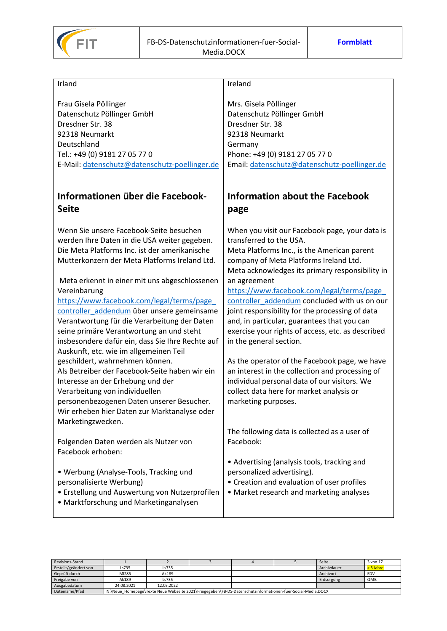

| Irland                                                                                                                                                                                                                                                                                                                                                                                                                                                                                                                                    | Ireland                                                                                                                                                                                                                                                                                                                                                                                                                 |
|-------------------------------------------------------------------------------------------------------------------------------------------------------------------------------------------------------------------------------------------------------------------------------------------------------------------------------------------------------------------------------------------------------------------------------------------------------------------------------------------------------------------------------------------|-------------------------------------------------------------------------------------------------------------------------------------------------------------------------------------------------------------------------------------------------------------------------------------------------------------------------------------------------------------------------------------------------------------------------|
|                                                                                                                                                                                                                                                                                                                                                                                                                                                                                                                                           |                                                                                                                                                                                                                                                                                                                                                                                                                         |
| Frau Gisela Pöllinger                                                                                                                                                                                                                                                                                                                                                                                                                                                                                                                     | Mrs. Gisela Pöllinger                                                                                                                                                                                                                                                                                                                                                                                                   |
| Datenschutz Pöllinger GmbH                                                                                                                                                                                                                                                                                                                                                                                                                                                                                                                | Datenschutz Pöllinger GmbH                                                                                                                                                                                                                                                                                                                                                                                              |
| Dresdner Str. 38                                                                                                                                                                                                                                                                                                                                                                                                                                                                                                                          | Dresdner Str. 38                                                                                                                                                                                                                                                                                                                                                                                                        |
| 92318 Neumarkt                                                                                                                                                                                                                                                                                                                                                                                                                                                                                                                            | 92318 Neumarkt                                                                                                                                                                                                                                                                                                                                                                                                          |
| Deutschland                                                                                                                                                                                                                                                                                                                                                                                                                                                                                                                               | Germany                                                                                                                                                                                                                                                                                                                                                                                                                 |
| Tel.: +49 (0) 9181 27 05 77 0                                                                                                                                                                                                                                                                                                                                                                                                                                                                                                             | Phone: +49 (0) 9181 27 05 77 0                                                                                                                                                                                                                                                                                                                                                                                          |
| E-Mail: datenschutz@datenschutz-poellinger.de                                                                                                                                                                                                                                                                                                                                                                                                                                                                                             | Email: datenschutz@datenschutz-poellinger.de                                                                                                                                                                                                                                                                                                                                                                            |
|                                                                                                                                                                                                                                                                                                                                                                                                                                                                                                                                           |                                                                                                                                                                                                                                                                                                                                                                                                                         |
|                                                                                                                                                                                                                                                                                                                                                                                                                                                                                                                                           |                                                                                                                                                                                                                                                                                                                                                                                                                         |
| Informationen über die Facebook-                                                                                                                                                                                                                                                                                                                                                                                                                                                                                                          | <b>Information about the Facebook</b>                                                                                                                                                                                                                                                                                                                                                                                   |
| <b>Seite</b>                                                                                                                                                                                                                                                                                                                                                                                                                                                                                                                              | page                                                                                                                                                                                                                                                                                                                                                                                                                    |
|                                                                                                                                                                                                                                                                                                                                                                                                                                                                                                                                           |                                                                                                                                                                                                                                                                                                                                                                                                                         |
| Wenn Sie unsere Facebook-Seite besuchen                                                                                                                                                                                                                                                                                                                                                                                                                                                                                                   | When you visit our Facebook page, your data is                                                                                                                                                                                                                                                                                                                                                                          |
| werden Ihre Daten in die USA weiter gegeben.                                                                                                                                                                                                                                                                                                                                                                                                                                                                                              | transferred to the USA.                                                                                                                                                                                                                                                                                                                                                                                                 |
| Die Meta Platforms Inc. ist der amerikanische                                                                                                                                                                                                                                                                                                                                                                                                                                                                                             | Meta Platforms Inc., is the American parent                                                                                                                                                                                                                                                                                                                                                                             |
| Mutterkonzern der Meta Platforms Ireland Ltd.                                                                                                                                                                                                                                                                                                                                                                                                                                                                                             | company of Meta Platforms Ireland Ltd.                                                                                                                                                                                                                                                                                                                                                                                  |
|                                                                                                                                                                                                                                                                                                                                                                                                                                                                                                                                           | Meta acknowledges its primary responsibility in                                                                                                                                                                                                                                                                                                                                                                         |
| Meta erkennt in einer mit uns abgeschlossenen                                                                                                                                                                                                                                                                                                                                                                                                                                                                                             | an agreement                                                                                                                                                                                                                                                                                                                                                                                                            |
| Vereinbarung                                                                                                                                                                                                                                                                                                                                                                                                                                                                                                                              | https://www.facebook.com/legal/terms/page                                                                                                                                                                                                                                                                                                                                                                               |
| https://www.facebook.com/legal/terms/page                                                                                                                                                                                                                                                                                                                                                                                                                                                                                                 | controller addendum concluded with us on our                                                                                                                                                                                                                                                                                                                                                                            |
| controller addendum über unsere gemeinsame                                                                                                                                                                                                                                                                                                                                                                                                                                                                                                | joint responsibility for the processing of data                                                                                                                                                                                                                                                                                                                                                                         |
| Verantwortung für die Verarbeitung der Daten                                                                                                                                                                                                                                                                                                                                                                                                                                                                                              | and, in particular, guarantees that you can                                                                                                                                                                                                                                                                                                                                                                             |
| seine primäre Verantwortung an und steht                                                                                                                                                                                                                                                                                                                                                                                                                                                                                                  | exercise your rights of access, etc. as described                                                                                                                                                                                                                                                                                                                                                                       |
|                                                                                                                                                                                                                                                                                                                                                                                                                                                                                                                                           |                                                                                                                                                                                                                                                                                                                                                                                                                         |
|                                                                                                                                                                                                                                                                                                                                                                                                                                                                                                                                           |                                                                                                                                                                                                                                                                                                                                                                                                                         |
|                                                                                                                                                                                                                                                                                                                                                                                                                                                                                                                                           |                                                                                                                                                                                                                                                                                                                                                                                                                         |
|                                                                                                                                                                                                                                                                                                                                                                                                                                                                                                                                           |                                                                                                                                                                                                                                                                                                                                                                                                                         |
|                                                                                                                                                                                                                                                                                                                                                                                                                                                                                                                                           |                                                                                                                                                                                                                                                                                                                                                                                                                         |
|                                                                                                                                                                                                                                                                                                                                                                                                                                                                                                                                           |                                                                                                                                                                                                                                                                                                                                                                                                                         |
|                                                                                                                                                                                                                                                                                                                                                                                                                                                                                                                                           |                                                                                                                                                                                                                                                                                                                                                                                                                         |
|                                                                                                                                                                                                                                                                                                                                                                                                                                                                                                                                           |                                                                                                                                                                                                                                                                                                                                                                                                                         |
|                                                                                                                                                                                                                                                                                                                                                                                                                                                                                                                                           |                                                                                                                                                                                                                                                                                                                                                                                                                         |
|                                                                                                                                                                                                                                                                                                                                                                                                                                                                                                                                           |                                                                                                                                                                                                                                                                                                                                                                                                                         |
|                                                                                                                                                                                                                                                                                                                                                                                                                                                                                                                                           | Facebook:                                                                                                                                                                                                                                                                                                                                                                                                               |
| Facebook erhoben:                                                                                                                                                                                                                                                                                                                                                                                                                                                                                                                         |                                                                                                                                                                                                                                                                                                                                                                                                                         |
|                                                                                                                                                                                                                                                                                                                                                                                                                                                                                                                                           |                                                                                                                                                                                                                                                                                                                                                                                                                         |
|                                                                                                                                                                                                                                                                                                                                                                                                                                                                                                                                           |                                                                                                                                                                                                                                                                                                                                                                                                                         |
|                                                                                                                                                                                                                                                                                                                                                                                                                                                                                                                                           | • Creation and evaluation of user profiles                                                                                                                                                                                                                                                                                                                                                                              |
|                                                                                                                                                                                                                                                                                                                                                                                                                                                                                                                                           |                                                                                                                                                                                                                                                                                                                                                                                                                         |
| • Marktforschung und Marketinganalysen                                                                                                                                                                                                                                                                                                                                                                                                                                                                                                    |                                                                                                                                                                                                                                                                                                                                                                                                                         |
| insbesondere dafür ein, dass Sie Ihre Rechte auf<br>Auskunft, etc. wie im allgemeinen Teil<br>geschildert, wahrnehmen können.<br>Als Betreiber der Facebook-Seite haben wir ein<br>Interesse an der Erhebung und der<br>Verarbeitung von individuellen<br>personenbezogenen Daten unserer Besucher.<br>Wir erheben hier Daten zur Marktanalyse oder<br>Marketingzwecken.<br>Folgenden Daten werden als Nutzer von<br>• Werbung (Analyse-Tools, Tracking und<br>personalisierte Werbung)<br>• Erstellung und Auswertung von Nutzerprofilen | in the general section.<br>As the operator of the Facebook page, we have<br>an interest in the collection and processing of<br>individual personal data of our visitors. We<br>collect data here for market analysis or<br>marketing purposes.<br>The following data is collected as a user of<br>• Advertising (analysis tools, tracking and<br>personalized advertising).<br>• Market research and marketing analyses |

| Revisions-Stand       |                                                                                                             |            |  |  |  | Seite       | 3 von 17  |
|-----------------------|-------------------------------------------------------------------------------------------------------------|------------|--|--|--|-------------|-----------|
| Erstellt/geändert von | Ls735                                                                                                       | Ls735      |  |  |  | Archivdauer | > 3 Jahre |
| Geprüft durch         | MI285                                                                                                       | Ak189      |  |  |  | Archivort   | EDV       |
| Freigabe von          | Ak189                                                                                                       | Ls735      |  |  |  | Entsorgung  | QMB       |
| Ausgabedatum          | 24.08.2021                                                                                                  | 12.05.2022 |  |  |  |             |           |
| Dateiname/Pfad        | N:\Neue Homepage\Texte Neue Webseite 2021\Freigegeben\FB-DS-Datenschutzinformationen-fuer-Social-Media.DOCX |            |  |  |  |             |           |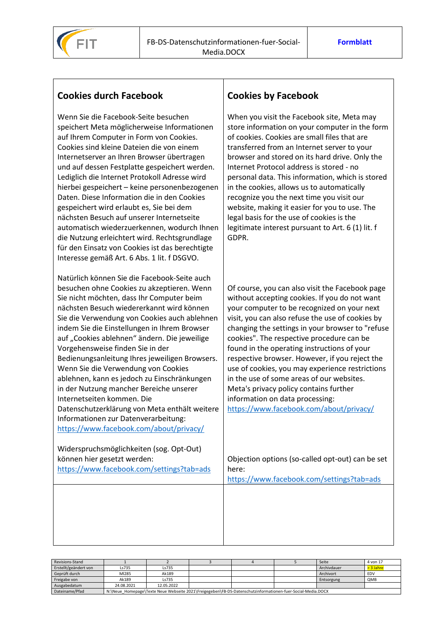

### **Cookies durch Facebook**

Wenn Sie die Facebook‐Seite besuchen speichert Meta möglicherweise Informationen auf Ihrem Computer in Form von Cookies. Cookies sind kleine Dateien die von einem Internetserver an Ihren Browser übertragen und auf dessen Festplatte gespeichert werden. Lediglich die Internet Protokoll Adresse wird hierbei gespeichert – keine personenbezogenen Daten. Diese Information die in den Cookies gespeichert wird erlaubt es, Sie bei dem nächsten Besuch auf unserer Internetseite automatisch wiederzuerkennen, wodurch Ihnen die Nutzung erleichtert wird. Rechtsgrundlage für den Einsatz von Cookies ist das berechtigte Interesse gemäß Art. 6 Abs. 1 lit. f DSGVO.

Natürlich können Sie die Facebook‐Seite auch besuchen ohne Cookies zu akzeptieren. Wenn Sie nicht möchten, dass Ihr Computer beim nächsten Besuch wiedererkannt wird können Sie die Verwendung von Cookies auch ablehnen indem Sie die Einstellungen in Ihrem Browser auf "Cookies ablehnen" ändern. Die jeweilige Vorgehensweise finden Sie in der Bedienungsanleitung Ihres jeweiligen Browsers. Wenn Sie die Verwendung von Cookies ablehnen, kann es jedoch zu Einschränkungen in der Nutzung mancher Bereiche unserer Internetseiten kommen. Die Datenschutzerklärung von Meta enthält weitere Informationen zur Datenverarbeitung: <https://www.facebook.com/about/privacy/>

Widerspruchsmöglichkeiten (sog. Opt‐Out) können hier gesetzt werden: <https://www.facebook.com/settings?tab=ads>

# **Cookies by Facebook**

When you visit the Facebook site, Meta may store information on your computer in the form of cookies. Cookies are small files that are transferred from an Internet server to your browser and stored on its hard drive. Only the Internet Protocol address is stored - no personal data. This information, which is stored in the cookies, allows us to automatically recognize you the next time you visit our website, making it easier for you to use. The legal basis for the use of cookies is the legitimate interest pursuant to Art. 6 (1) lit. f GDPR.

Of course, you can also visit the Facebook page without accepting cookies. If you do not want your computer to be recognized on your next visit, you can also refuse the use of cookies by changing the settings in your browser to "refuse cookies". The respective procedure can be found in the operating instructions of your respective browser. However, if you reject the use of cookies, you may experience restrictions in the use of some areas of our websites. Meta's privacy policy contains further information on data processing: <https://www.facebook.com/about/privacy/>

Objection options (so-called opt-out) can be set here:

<https://www.facebook.com/settings?tab=ads>

| Revisions-Stand       |                                                                                                             |            |  |  |  | Seite       | 4 von 17 |
|-----------------------|-------------------------------------------------------------------------------------------------------------|------------|--|--|--|-------------|----------|
| Erstellt/geändert von | Ls735                                                                                                       | Ls735      |  |  |  | Archivdauer | 3 Jahre  |
| Geprüft durch         | MI285                                                                                                       | Ak189      |  |  |  | Archivort   | EDV      |
| Freigabe von          | Ak189                                                                                                       | Ls735      |  |  |  | Entsorgung  | QMB      |
| Ausgabedatum          | 24.08.2021                                                                                                  | 12.05.2022 |  |  |  |             |          |
| Dateiname/Pfad        | N:\Neue Homepage\Texte Neue Webseite 2021\Freigegeben\FB-DS-Datenschutzinformationen-fuer-Social-Media.DOCX |            |  |  |  |             |          |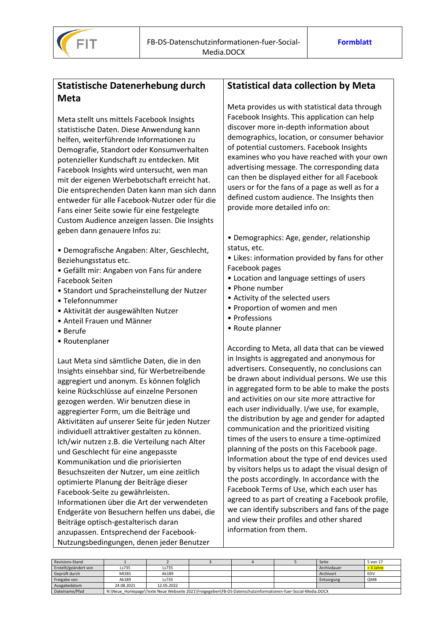

## **Statistische Datenerhebung durch Meta**

Meta stellt uns mittels Facebook Insights statistische Daten. Diese Anwendung kann helfen, weiterführende Informationen zu Demografie, Standort oder Konsumverhalten potenzieller Kundschaft zu entdecken. Mit Facebook Insights wird untersucht, wen man mit der eigenen Werbebotschaft erreicht hat. Die entsprechenden Daten kann man sich dann entweder für alle Facebook‐Nutzer oder für die Fans einer Seite sowie für eine festgelegte Custom Audience anzeigen lassen. Die Insights geben dann genauere Infos zu:

- Demografische Angaben: Alter, Geschlecht, Beziehungsstatus etc.
- Gefällt mir: Angaben von Fans für andere Facebook Seiten
- Standort und Spracheinstellung der Nutzer
- Telefonnummer
- Aktivität der ausgewählten Nutzer
- Anteil Frauen und Männer
- Berufe
- Routenplaner

Laut Meta sind sämtliche Daten, die in den Insights einsehbar sind, für Werbetreibende aggregiert und anonym. Es können folglich keine Rückschlüsse auf einzelne Personen gezogen werden. Wir benutzen diese in aggregierter Form, um die Beiträge und Aktivitäten auf unserer Seite für jeden Nutzer individuell attraktiver gestalten zu können. Ich/wir nutzen z.B. die Verteilung nach Alter und Geschlecht für eine angepasste Kommunikation und die priorisierten Besuchszeiten der Nutzer, um eine zeitlich optimierte Planung der Beiträge dieser Facebook‐Seite zu gewährleisten. Informationen über die Art der verwendeten Endgeräte von Besuchern helfen uns dabei, die Beiträge optisch‐gestalterisch daran anzupassen. Entsprechend der Facebook‐ Nutzungsbedingungen, denen jeder Benutzer

#### **Statistical data collection by Meta**

Meta provides us with statistical data through Facebook Insights. This application can help discover more in-depth information about demographics, location, or consumer behavior of potential customers. Facebook Insights examines who you have reached with your own advertising message. The corresponding data can then be displayed either for all Facebook users or for the fans of a page as well as for a defined custom audience. The Insights then provide more detailed info on:

- Demographics: Age, gender, relationship status, etc.
- Likes: information provided by fans for other Facebook pages
- Location and language settings of users
- Phone number
- Activity of the selected users
- Proportion of women and men
- Professions
- Route planner

According to Meta, all data that can be viewed in Insights is aggregated and anonymous for advertisers. Consequently, no conclusions can be drawn about individual persons. We use this in aggregated form to be able to make the posts and activities on our site more attractive for each user individually. I/we use, for example, the distribution by age and gender for adapted communication and the prioritized visiting times of the users to ensure a time-optimized planning of the posts on this Facebook page. Information about the type of end devices used by visitors helps us to adapt the visual design of the posts accordingly. In accordance with the Facebook Terms of Use, which each user has agreed to as part of creating a Facebook profile, we can identify subscribers and fans of the page and view their profiles and other shared information from them.

| Revisions-Stand       |                                                                                                             |            |  |  |  | Seite       | 5 von 17  |
|-----------------------|-------------------------------------------------------------------------------------------------------------|------------|--|--|--|-------------|-----------|
| Erstellt/geändert von | Ls735                                                                                                       | Ls735      |  |  |  | Archivdauer | > 3 Jahre |
| Geprüft durch         | MI285                                                                                                       | Ak189      |  |  |  | Archivort   | EDV       |
| Freigabe von          | Ak189                                                                                                       | Ls735      |  |  |  | Entsorgung  | QMB       |
| Ausgabedatum          | 24.08.2021                                                                                                  | 12.05.2022 |  |  |  |             |           |
| Dateiname/Pfad        | N:\Neue Homepage\Texte Neue Webseite 2021\Freigegeben\FB-DS-Datenschutzinformationen-fuer-Social-Media.DOCX |            |  |  |  |             |           |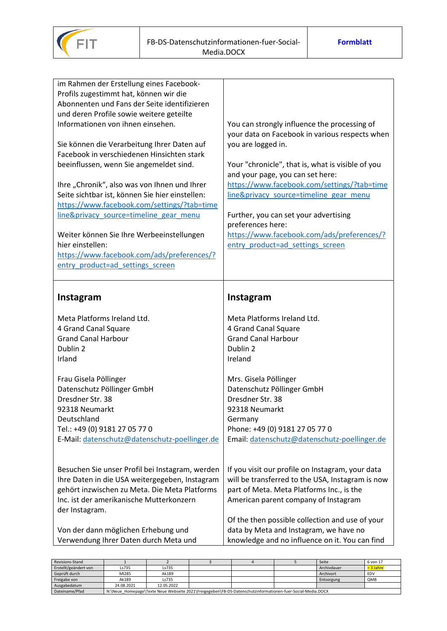

| im Rahmen der Erstellung eines Facebook-<br>Profils zugestimmt hat, können wir die<br>Abonnenten und Fans der Seite identifizieren<br>und deren Profile sowie weitere geteilte<br>Informationen von ihnen einsehen.<br>Sie können die Verarbeitung Ihrer Daten auf<br>Facebook in verschiedenen Hinsichten stark<br>beeinflussen, wenn Sie angemeldet sind.<br>Ihre "Chronik", also was von Ihnen und Ihrer<br>Seite sichtbar ist, können Sie hier einstellen:<br>https://www.facebook.com/settings/?tab=time<br>line&privacy source=timeline gear menu<br>Weiter können Sie Ihre Werbeeinstellungen<br>hier einstellen:<br>https://www.facebook.com/ads/preferences/?<br>entry product=ad settings screen | You can strongly influence the processing of<br>your data on Facebook in various respects when<br>you are logged in.<br>Your "chronicle", that is, what is visible of you<br>and your page, you can set here:<br>https://www.facebook.com/settings/?tab=time<br>line&privacy_source=timeline_gear_menu<br>Further, you can set your advertising<br>preferences here:<br>https://www.facebook.com/ads/preferences/?<br>entry_product=ad_settings_screen |
|------------------------------------------------------------------------------------------------------------------------------------------------------------------------------------------------------------------------------------------------------------------------------------------------------------------------------------------------------------------------------------------------------------------------------------------------------------------------------------------------------------------------------------------------------------------------------------------------------------------------------------------------------------------------------------------------------------|--------------------------------------------------------------------------------------------------------------------------------------------------------------------------------------------------------------------------------------------------------------------------------------------------------------------------------------------------------------------------------------------------------------------------------------------------------|
| Instagram                                                                                                                                                                                                                                                                                                                                                                                                                                                                                                                                                                                                                                                                                                  | Instagram                                                                                                                                                                                                                                                                                                                                                                                                                                              |
| Meta Platforms Ireland Ltd.                                                                                                                                                                                                                                                                                                                                                                                                                                                                                                                                                                                                                                                                                | Meta Platforms Ireland Ltd.                                                                                                                                                                                                                                                                                                                                                                                                                            |
| 4 Grand Canal Square                                                                                                                                                                                                                                                                                                                                                                                                                                                                                                                                                                                                                                                                                       | 4 Grand Canal Square                                                                                                                                                                                                                                                                                                                                                                                                                                   |
| <b>Grand Canal Harbour</b>                                                                                                                                                                                                                                                                                                                                                                                                                                                                                                                                                                                                                                                                                 | <b>Grand Canal Harbour</b>                                                                                                                                                                                                                                                                                                                                                                                                                             |
| Dublin 2                                                                                                                                                                                                                                                                                                                                                                                                                                                                                                                                                                                                                                                                                                   | Dublin 2                                                                                                                                                                                                                                                                                                                                                                                                                                               |
| Irland                                                                                                                                                                                                                                                                                                                                                                                                                                                                                                                                                                                                                                                                                                     | Ireland                                                                                                                                                                                                                                                                                                                                                                                                                                                |
| Frau Gisela Pöllinger                                                                                                                                                                                                                                                                                                                                                                                                                                                                                                                                                                                                                                                                                      | Mrs. Gisela Pöllinger                                                                                                                                                                                                                                                                                                                                                                                                                                  |
| Datenschutz Pöllinger GmbH                                                                                                                                                                                                                                                                                                                                                                                                                                                                                                                                                                                                                                                                                 | Datenschutz Pöllinger GmbH                                                                                                                                                                                                                                                                                                                                                                                                                             |
| Dresdner Str. 38                                                                                                                                                                                                                                                                                                                                                                                                                                                                                                                                                                                                                                                                                           | Dresdner Str. 38                                                                                                                                                                                                                                                                                                                                                                                                                                       |
| 92318 Neumarkt                                                                                                                                                                                                                                                                                                                                                                                                                                                                                                                                                                                                                                                                                             | 92318 Neumarkt                                                                                                                                                                                                                                                                                                                                                                                                                                         |
| Deutschland                                                                                                                                                                                                                                                                                                                                                                                                                                                                                                                                                                                                                                                                                                | Germany                                                                                                                                                                                                                                                                                                                                                                                                                                                |
| Tel.: +49 (0) 9181 27 05 77 0                                                                                                                                                                                                                                                                                                                                                                                                                                                                                                                                                                                                                                                                              | Phone: +49 (0) 9181 27 05 77 0                                                                                                                                                                                                                                                                                                                                                                                                                         |
| E-Mail: datenschutz@datenschutz-poellinger.de                                                                                                                                                                                                                                                                                                                                                                                                                                                                                                                                                                                                                                                              | Email: datenschutz@datenschutz-poellinger.de                                                                                                                                                                                                                                                                                                                                                                                                           |
| Besuchen Sie unser Profil bei Instagram, werden                                                                                                                                                                                                                                                                                                                                                                                                                                                                                                                                                                                                                                                            | If you visit our profile on Instagram, your data                                                                                                                                                                                                                                                                                                                                                                                                       |
| Ihre Daten in die USA weitergegeben, Instagram                                                                                                                                                                                                                                                                                                                                                                                                                                                                                                                                                                                                                                                             | will be transferred to the USA, Instagram is now                                                                                                                                                                                                                                                                                                                                                                                                       |
| gehört inzwischen zu Meta. Die Meta Platforms                                                                                                                                                                                                                                                                                                                                                                                                                                                                                                                                                                                                                                                              | part of Meta. Meta Platforms Inc., is the                                                                                                                                                                                                                                                                                                                                                                                                              |
| Inc. ist der amerikanische Mutterkonzern                                                                                                                                                                                                                                                                                                                                                                                                                                                                                                                                                                                                                                                                   | American parent company of Instagram                                                                                                                                                                                                                                                                                                                                                                                                                   |
| der Instagram.                                                                                                                                                                                                                                                                                                                                                                                                                                                                                                                                                                                                                                                                                             | Of the then possible collection and use of your                                                                                                                                                                                                                                                                                                                                                                                                        |
| Von der dann möglichen Erhebung und                                                                                                                                                                                                                                                                                                                                                                                                                                                                                                                                                                                                                                                                        | data by Meta and Instagram, we have no                                                                                                                                                                                                                                                                                                                                                                                                                 |
| Verwendung Ihrer Daten durch Meta und                                                                                                                                                                                                                                                                                                                                                                                                                                                                                                                                                                                                                                                                      | knowledge and no influence on it. You can find                                                                                                                                                                                                                                                                                                                                                                                                         |

| Revisions-Stand       |                                                                                                             |            |  |  |  | Seite       | 6 von 17   |
|-----------------------|-------------------------------------------------------------------------------------------------------------|------------|--|--|--|-------------|------------|
| Erstellt/geändert von | Ls735                                                                                                       | Ls735      |  |  |  | Archivdauer | 3 Jahre    |
| Geprüft durch         | MI285                                                                                                       | Ak189      |  |  |  | Archivort   | EDV        |
| Freigabe von          | Ak189                                                                                                       | Ls735      |  |  |  | Entsorgung  | <b>QMB</b> |
| Ausgabedatum          | 24.08.2021                                                                                                  | 12.05.2022 |  |  |  |             |            |
| Dateiname/Pfad        | N:\Neue Homepage\Texte Neue Webseite 2021\Freigegeben\FB-DS-Datenschutzinformationen-fuer-Social-Media.DOCX |            |  |  |  |             |            |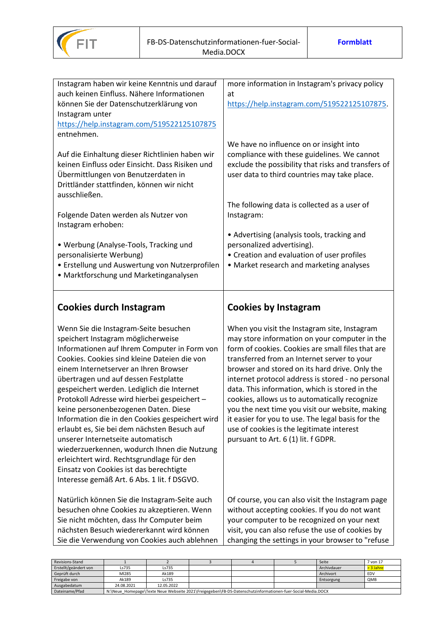

| Instagram haben wir keine Kenntnis und darauf                                                | more information in Instagram's privacy policy                                                |
|----------------------------------------------------------------------------------------------|-----------------------------------------------------------------------------------------------|
| auch keinen Einfluss. Nähere Informationen                                                   | at                                                                                            |
| können Sie der Datenschutzerklärung von                                                      | https://help.instagram.com/519522125107875.                                                   |
| Instagram unter                                                                              |                                                                                               |
| https://help.instagram.com/519522125107875<br>entnehmen.                                     |                                                                                               |
|                                                                                              | We have no influence on or insight into                                                       |
| Auf die Einhaltung dieser Richtlinien haben wir                                              | compliance with these guidelines. We cannot                                                   |
| keinen Einfluss oder Einsicht. Dass Risiken und                                              | exclude the possibility that risks and transfers of                                           |
| Übermittlungen von Benutzerdaten in                                                          | user data to third countries may take place.                                                  |
| Drittländer stattfinden, können wir nicht                                                    |                                                                                               |
| ausschließen.                                                                                |                                                                                               |
|                                                                                              | The following data is collected as a user of                                                  |
| Folgende Daten werden als Nutzer von                                                         | Instagram:                                                                                    |
| Instagram erhoben:                                                                           | • Advertising (analysis tools, tracking and                                                   |
| • Werbung (Analyse-Tools, Tracking und                                                       | personalized advertising).                                                                    |
| personalisierte Werbung)                                                                     | • Creation and evaluation of user profiles                                                    |
| • Erstellung und Auswertung von Nutzerprofilen                                               | • Market research and marketing analyses                                                      |
| • Marktforschung und Marketinganalysen                                                       |                                                                                               |
|                                                                                              |                                                                                               |
|                                                                                              |                                                                                               |
| <b>Cookies durch Instagram</b>                                                               | <b>Cookies by Instagram</b>                                                                   |
|                                                                                              |                                                                                               |
|                                                                                              |                                                                                               |
| Wenn Sie die Instagram-Seite besuchen                                                        | When you visit the Instagram site, Instagram                                                  |
| speichert Instagram möglicherweise                                                           | may store information on your computer in the                                                 |
| Informationen auf Ihrem Computer in Form von<br>Cookies. Cookies sind kleine Dateien die von | form of cookies. Cookies are small files that are                                             |
| einem Internetserver an Ihren Browser                                                        | transferred from an Internet server to your<br>browser and stored on its hard drive. Only the |
| übertragen und auf dessen Festplatte                                                         | internet protocol address is stored - no personal                                             |
| gespeichert werden. Lediglich die Internet                                                   | data. This information, which is stored in the                                                |
| Protokoll Adresse wird hierbei gespeichert -                                                 | cookies, allows us to automatically recognize                                                 |
| keine personenbezogenen Daten. Diese                                                         | you the next time you visit our website, making                                               |
| Information die in den Cookies gespeichert wird                                              | it easier for you to use. The legal basis for the                                             |
| erlaubt es, Sie bei dem nächsten Besuch auf                                                  | use of cookies is the legitimate interest                                                     |
| unserer Internetseite automatisch                                                            | pursuant to Art. 6 (1) lit. f GDPR.                                                           |
| wiederzuerkennen, wodurch Ihnen die Nutzung                                                  |                                                                                               |
| erleichtert wird. Rechtsgrundlage für den                                                    |                                                                                               |
| Einsatz von Cookies ist das berechtigte                                                      |                                                                                               |
| Interesse gemäß Art. 6 Abs. 1 lit. f DSGVO.                                                  |                                                                                               |
| Natürlich können Sie die Instagram-Seite auch                                                | Of course, you can also visit the Instagram page                                              |
| besuchen ohne Cookies zu akzeptieren. Wenn                                                   | without accepting cookies. If you do not want                                                 |
| Sie nicht möchten, dass Ihr Computer beim                                                    | your computer to be recognized on your next                                                   |
| nächsten Besuch wiedererkannt wird können                                                    | visit, you can also refuse the use of cookies by                                              |
| Sie die Verwendung von Cookies auch ablehnen                                                 | changing the settings in your browser to "refuse                                              |

| Revisions-Stand       |                                                                                                             |            |  |  |  | Seite       | 7 von 17 |
|-----------------------|-------------------------------------------------------------------------------------------------------------|------------|--|--|--|-------------|----------|
| Erstellt/geändert von | Ls735                                                                                                       | Ls735      |  |  |  | Archivdauer | 3 Jahre  |
| Geprüft durch         | MI285                                                                                                       | Ak189      |  |  |  | Archivort   | EDV      |
| Freigabe von          | Ak189                                                                                                       | Ls735      |  |  |  | Entsorgung  | QMB      |
| Ausgabedatum          | 24.08.2021                                                                                                  | 12.05.2022 |  |  |  |             |          |
| Dateiname/Pfad        | N:\Neue Homepage\Texte Neue Webseite 2021\Freigegeben\FB-DS-Datenschutzinformationen-fuer-Social-Media.DOCX |            |  |  |  |             |          |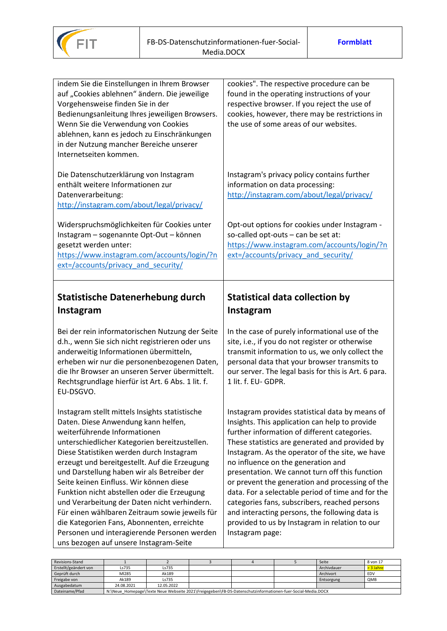

| indem Sie die Einstellungen in Ihrem Browser<br>auf "Cookies ablehnen" ändern. Die jeweilige<br>Vorgehensweise finden Sie in der<br>Bedienungsanleitung Ihres jeweiligen Browsers.<br>Wenn Sie die Verwendung von Cookies<br>ablehnen, kann es jedoch zu Einschränkungen<br>in der Nutzung mancher Bereiche unserer<br>Internetseiten kommen. | cookies". The respective procedure can be<br>found in the operating instructions of your<br>respective browser. If you reject the use of<br>cookies, however, there may be restrictions in<br>the use of some areas of our websites.                                                |
|-----------------------------------------------------------------------------------------------------------------------------------------------------------------------------------------------------------------------------------------------------------------------------------------------------------------------------------------------|-------------------------------------------------------------------------------------------------------------------------------------------------------------------------------------------------------------------------------------------------------------------------------------|
| Die Datenschutzerklärung von Instagram<br>enthält weitere Informationen zur<br>Datenverarbeitung:<br>http://instagram.com/about/legal/privacy/                                                                                                                                                                                                | Instagram's privacy policy contains further<br>information on data processing:<br>http://instagram.com/about/legal/privacy/                                                                                                                                                         |
| Widerspruchsmöglichkeiten für Cookies unter<br>Instagram - sogenannte Opt-Out - können<br>gesetzt werden unter:<br>https://www.instagram.com/accounts/login/?n<br>ext=/accounts/privacy and security/                                                                                                                                         | Opt-out options for cookies under Instagram -<br>so-called opt-outs - can be set at:<br>https://www.instagram.com/accounts/login/?n<br>ext=/accounts/privacy and security/                                                                                                          |
| <b>Statistische Datenerhebung durch</b><br>Instagram                                                                                                                                                                                                                                                                                          | <b>Statistical data collection by</b><br>Instagram                                                                                                                                                                                                                                  |
| Bei der rein informatorischen Nutzung der Seite<br>d.h., wenn Sie sich nicht registrieren oder uns<br>anderweitig Informationen übermitteln,<br>erheben wir nur die personenbezogenen Daten,<br>die Ihr Browser an unseren Server übermittelt.<br>Rechtsgrundlage hierfür ist Art. 6 Abs. 1 lit. f.<br>EU-DSGVO.                              | In the case of purely informational use of the<br>site, i.e., if you do not register or otherwise<br>transmit information to us, we only collect the<br>personal data that your browser transmits to<br>our server. The legal basis for this is Art. 6 para.<br>1 lit. f. EU- GDPR. |
| Instagram stellt mittels Insights statistische<br>Daten. Diese Anwendung kann helfen,<br>weiterführende Informationen                                                                                                                                                                                                                         | Instagram provides statistical data by means of<br>Insights. This application can help to provide<br>further information of different categories.                                                                                                                                   |

| Revisions-Stand       |                                                                                                             |            |  |  |  | Seite       | 8 von 17   |
|-----------------------|-------------------------------------------------------------------------------------------------------------|------------|--|--|--|-------------|------------|
| Erstellt/geändert von | Ls735                                                                                                       | Ls735      |  |  |  | Archivdauer | 3 Jahre    |
| Geprüft durch         | MI285                                                                                                       | Ak189      |  |  |  | Archivort   | EDV        |
| Freigabe von          | Ak189                                                                                                       | Ls735      |  |  |  | Entsorgung  | <b>QMB</b> |
| Ausgabedatum          | 24.08.2021                                                                                                  | 12.05.2022 |  |  |  |             |            |
| Dateiname/Pfad        | N:\Neue Homepage\Texte Neue Webseite 2021\Freigegeben\FB-DS-Datenschutzinformationen-fuer-Social-Media.DOCX |            |  |  |  |             |            |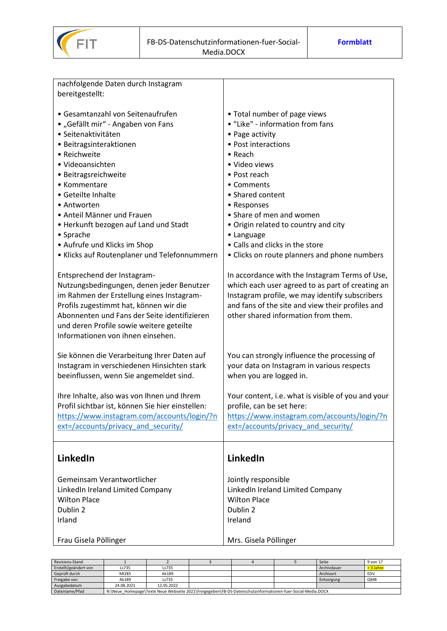

| nachfolgende Daten durch Instagram<br>bereitgestellt:                                                                                                                                                                                                                                            |                                                                                                                                                                                                                                                 |
|--------------------------------------------------------------------------------------------------------------------------------------------------------------------------------------------------------------------------------------------------------------------------------------------------|-------------------------------------------------------------------------------------------------------------------------------------------------------------------------------------------------------------------------------------------------|
| • Gesamtanzahl von Seitenaufrufen                                                                                                                                                                                                                                                                | • Total number of page views                                                                                                                                                                                                                    |
| · "Gefällt mir" - Angaben von Fans                                                                                                                                                                                                                                                               | • "Like" - information from fans                                                                                                                                                                                                                |
| • Seitenaktivitäten                                                                                                                                                                                                                                                                              | • Page activity                                                                                                                                                                                                                                 |
| • Beitragsinteraktionen                                                                                                                                                                                                                                                                          | • Post interactions                                                                                                                                                                                                                             |
| • Reichweite                                                                                                                                                                                                                                                                                     | $\bullet$ Reach                                                                                                                                                                                                                                 |
| · Videoansichten                                                                                                                                                                                                                                                                                 | · Video views                                                                                                                                                                                                                                   |
| · Beitragsreichweite                                                                                                                                                                                                                                                                             | • Post reach                                                                                                                                                                                                                                    |
| • Kommentare                                                                                                                                                                                                                                                                                     | • Comments                                                                                                                                                                                                                                      |
| • Geteilte Inhalte                                                                                                                                                                                                                                                                               | • Shared content                                                                                                                                                                                                                                |
| • Antworten                                                                                                                                                                                                                                                                                      | • Responses                                                                                                                                                                                                                                     |
| • Anteil Männer und Frauen                                                                                                                                                                                                                                                                       | • Share of men and women                                                                                                                                                                                                                        |
| • Herkunft bezogen auf Land und Stadt                                                                                                                                                                                                                                                            | • Origin related to country and city                                                                                                                                                                                                            |
| • Sprache                                                                                                                                                                                                                                                                                        | • Language                                                                                                                                                                                                                                      |
| • Aufrufe und Klicks im Shop                                                                                                                                                                                                                                                                     | • Calls and clicks in the store                                                                                                                                                                                                                 |
| • Klicks auf Routenplaner und Telefonnummern                                                                                                                                                                                                                                                     | • Clicks on route planners and phone numbers                                                                                                                                                                                                    |
| Entsprechend der Instagram-<br>Nutzungsbedingungen, denen jeder Benutzer<br>im Rahmen der Erstellung eines Instagram-<br>Profils zugestimmt hat, können wir die<br>Abonnenten und Fans der Seite identifizieren<br>und deren Profile sowie weitere geteilte<br>Informationen von ihnen einsehen. | In accordance with the Instagram Terms of Use,<br>which each user agreed to as part of creating an<br>Instagram profile, we may identify subscribers<br>and fans of the site and view their profiles and<br>other shared information from them. |
| Sie können die Verarbeitung Ihrer Daten auf                                                                                                                                                                                                                                                      | You can strongly influence the processing of                                                                                                                                                                                                    |
| Instagram in verschiedenen Hinsichten stark                                                                                                                                                                                                                                                      | your data on Instagram in various respects                                                                                                                                                                                                      |
| beeinflussen, wenn Sie angemeldet sind.                                                                                                                                                                                                                                                          | when you are logged in.                                                                                                                                                                                                                         |
| Ihre Inhalte, also was von Ihnen und Ihrem                                                                                                                                                                                                                                                       | Your content, i.e. what is visible of you and your                                                                                                                                                                                              |
| Profil sichtbar ist, können Sie hier einstellen:                                                                                                                                                                                                                                                 | profile, can be set here:                                                                                                                                                                                                                       |
| https://www.instagram.com/accounts/login/?n                                                                                                                                                                                                                                                      | https://www.instagram.com/accounts/login/?n                                                                                                                                                                                                     |
| ext=/accounts/privacy and security/                                                                                                                                                                                                                                                              | ext=/accounts/privacy and security/                                                                                                                                                                                                             |
| LinkedIn                                                                                                                                                                                                                                                                                         | LinkedIn                                                                                                                                                                                                                                        |
| Gemeinsam Verantwortlicher                                                                                                                                                                                                                                                                       | Jointly responsible                                                                                                                                                                                                                             |
| LinkedIn Ireland Limited Company                                                                                                                                                                                                                                                                 | LinkedIn Ireland Limited Company                                                                                                                                                                                                                |
| <b>Wilton Place</b>                                                                                                                                                                                                                                                                              | <b>Wilton Place</b>                                                                                                                                                                                                                             |
| Dublin 2                                                                                                                                                                                                                                                                                         | Dublin 2                                                                                                                                                                                                                                        |
| Irland                                                                                                                                                                                                                                                                                           | Ireland                                                                                                                                                                                                                                         |
|                                                                                                                                                                                                                                                                                                  |                                                                                                                                                                                                                                                 |

Frau Gisela Pöllinger

Mrs. Gisela Pöllinger

 $\overline{\phantom{a}}$ 

| Revisions-Stand       |                                                                                                             |            |  |  |  | Seite       | 9 von 17 |
|-----------------------|-------------------------------------------------------------------------------------------------------------|------------|--|--|--|-------------|----------|
| Erstellt/geändert von | Ls735                                                                                                       | Ls735      |  |  |  | Archivdauer | 3 Jahre  |
| Geprüft durch         | MI285                                                                                                       | Ak189      |  |  |  | Archivort   | EDV      |
| Freigabe von          | Ak189                                                                                                       | Ls735      |  |  |  | Entsorgung  | QMB      |
| Ausgabedatum          | 24.08.2021                                                                                                  | 12.05.2022 |  |  |  |             |          |
| Dateiname/Pfad        | N:\Neue Homepage\Texte Neue Webseite 2021\Freigegeben\FB-DS-Datenschutzinformationen-fuer-Social-Media.DOCX |            |  |  |  |             |          |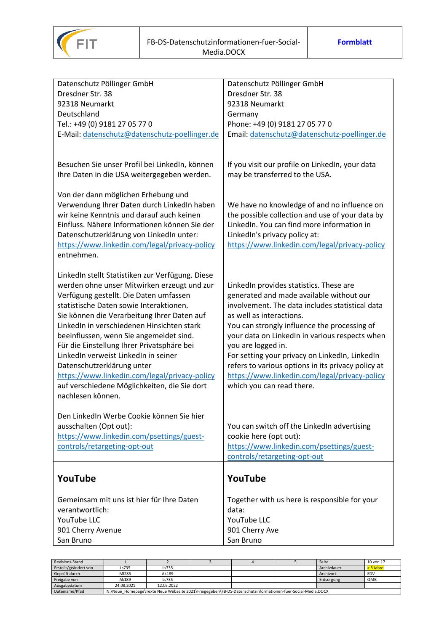

| Datenschutz Pöllinger GmbH                                                                                                                                                                                                                                                                                                                                                                                                                                                                                                                                             | Datenschutz Pöllinger GmbH                                                                                                                                                                                                                                                                                                                                                                                                                                                       |
|------------------------------------------------------------------------------------------------------------------------------------------------------------------------------------------------------------------------------------------------------------------------------------------------------------------------------------------------------------------------------------------------------------------------------------------------------------------------------------------------------------------------------------------------------------------------|----------------------------------------------------------------------------------------------------------------------------------------------------------------------------------------------------------------------------------------------------------------------------------------------------------------------------------------------------------------------------------------------------------------------------------------------------------------------------------|
| Dresdner Str. 38                                                                                                                                                                                                                                                                                                                                                                                                                                                                                                                                                       | Dresdner Str. 38                                                                                                                                                                                                                                                                                                                                                                                                                                                                 |
| 92318 Neumarkt                                                                                                                                                                                                                                                                                                                                                                                                                                                                                                                                                         | 92318 Neumarkt                                                                                                                                                                                                                                                                                                                                                                                                                                                                   |
| Deutschland                                                                                                                                                                                                                                                                                                                                                                                                                                                                                                                                                            | Germany                                                                                                                                                                                                                                                                                                                                                                                                                                                                          |
| Tel.: +49 (0) 9181 27 05 77 0                                                                                                                                                                                                                                                                                                                                                                                                                                                                                                                                          | Phone: +49 (0) 9181 27 05 77 0                                                                                                                                                                                                                                                                                                                                                                                                                                                   |
| E-Mail: datenschutz@datenschutz-poellinger.de                                                                                                                                                                                                                                                                                                                                                                                                                                                                                                                          | Email: datenschutz@datenschutz-poellinger.de                                                                                                                                                                                                                                                                                                                                                                                                                                     |
| Besuchen Sie unser Profil bei LinkedIn, können                                                                                                                                                                                                                                                                                                                                                                                                                                                                                                                         | If you visit our profile on LinkedIn, your data                                                                                                                                                                                                                                                                                                                                                                                                                                  |
| Ihre Daten in die USA weitergegeben werden.                                                                                                                                                                                                                                                                                                                                                                                                                                                                                                                            | may be transferred to the USA.                                                                                                                                                                                                                                                                                                                                                                                                                                                   |
| Von der dann möglichen Erhebung und<br>Verwendung Ihrer Daten durch LinkedIn haben<br>wir keine Kenntnis und darauf auch keinen<br>Einfluss. Nähere Informationen können Sie der<br>Datenschutzerklärung von LinkedIn unter:<br>https://www.linkedin.com/legal/privacy-policy<br>entnehmen.                                                                                                                                                                                                                                                                            | We have no knowledge of and no influence on<br>the possible collection and use of your data by<br>LinkedIn. You can find more information in<br>LinkedIn's privacy policy at:<br>https://www.linkedin.com/legal/privacy-policy                                                                                                                                                                                                                                                   |
| LinkedIn stellt Statistiken zur Verfügung. Diese<br>werden ohne unser Mitwirken erzeugt und zur<br>Verfügung gestellt. Die Daten umfassen<br>statistische Daten sowie Interaktionen.<br>Sie können die Verarbeitung Ihrer Daten auf<br>LinkedIn in verschiedenen Hinsichten stark<br>beeinflussen, wenn Sie angemeldet sind.<br>Für die Einstellung Ihrer Privatsphäre bei<br>LinkedIn verweist LinkedIn in seiner<br>Datenschutzerklärung unter<br>https://www.linkedin.com/legal/privacy-policy<br>auf verschiedene Möglichkeiten, die Sie dort<br>nachlesen können. | LinkedIn provides statistics. These are<br>generated and made available without our<br>involvement. The data includes statistical data<br>as well as interactions.<br>You can strongly influence the processing of<br>your data on LinkedIn in various respects when<br>you are logged in.<br>For setting your privacy on LinkedIn, LinkedIn<br>refers to various options in its privacy policy at<br>https://www.linkedin.com/legal/privacy-policy<br>which you can read there. |
| Den LinkedIn Werbe Cookie können Sie hier<br>ausschalten (Opt out):<br>https://www.linkedin.com/psettings/guest-<br>controls/retargeting-opt-out                                                                                                                                                                                                                                                                                                                                                                                                                       | You can switch off the LinkedIn advertising<br>cookie here (opt out):<br>https://www.linkedin.com/psettings/guest-<br>controls/retargeting-opt-out                                                                                                                                                                                                                                                                                                                               |
| YouTube                                                                                                                                                                                                                                                                                                                                                                                                                                                                                                                                                                | YouTube                                                                                                                                                                                                                                                                                                                                                                                                                                                                          |
| Gemeinsam mit uns ist hier für Ihre Daten                                                                                                                                                                                                                                                                                                                                                                                                                                                                                                                              | Together with us here is responsible for your                                                                                                                                                                                                                                                                                                                                                                                                                                    |
| verantwortlich:                                                                                                                                                                                                                                                                                                                                                                                                                                                                                                                                                        | data:                                                                                                                                                                                                                                                                                                                                                                                                                                                                            |
| YouTube LLC                                                                                                                                                                                                                                                                                                                                                                                                                                                                                                                                                            | YouTube LLC                                                                                                                                                                                                                                                                                                                                                                                                                                                                      |
| 901 Cherry Avenue                                                                                                                                                                                                                                                                                                                                                                                                                                                                                                                                                      | 901 Cherry Ave                                                                                                                                                                                                                                                                                                                                                                                                                                                                   |
| San Bruno                                                                                                                                                                                                                                                                                                                                                                                                                                                                                                                                                              | San Bruno                                                                                                                                                                                                                                                                                                                                                                                                                                                                        |

| Revisions-Stand       |                                                                                                             |            |  |  |  | Seite       | 10 von 17 |
|-----------------------|-------------------------------------------------------------------------------------------------------------|------------|--|--|--|-------------|-----------|
| Erstellt/geändert von | Ls735                                                                                                       | Ls735      |  |  |  | Archivdauer | > 3 Jahre |
| Geprüft durch         | MI285                                                                                                       | Ak189      |  |  |  | Archivort   | EDV       |
| Freigabe von          | Ak189                                                                                                       | Ls735      |  |  |  | Entsorgung  | QMB       |
| Ausgabedatum          | 24.08.2021                                                                                                  | 12.05.2022 |  |  |  |             |           |
| Dateiname/Pfad        | N:\Neue Homepage\Texte Neue Webseite 2021\Freigegeben\FB-DS-Datenschutzinformationen-fuer-Social-Media.DOCX |            |  |  |  |             |           |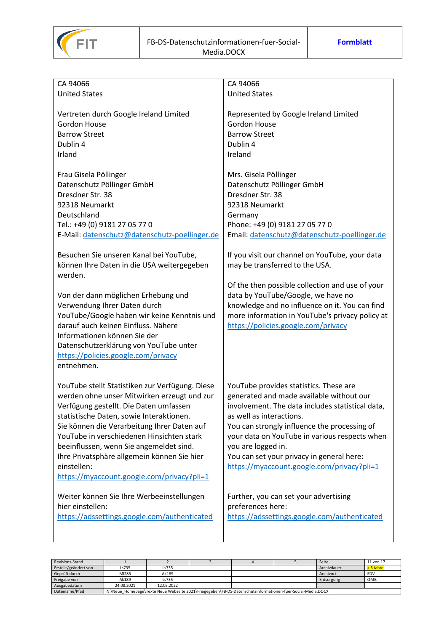

| CA 94066                                        | CA 94066                                         |
|-------------------------------------------------|--------------------------------------------------|
| <b>United States</b>                            | <b>United States</b>                             |
|                                                 |                                                  |
|                                                 |                                                  |
| Vertreten durch Google Ireland Limited          | Represented by Google Ireland Limited            |
| <b>Gordon House</b>                             | Gordon House                                     |
| <b>Barrow Street</b>                            | <b>Barrow Street</b>                             |
| Dublin 4                                        | Dublin 4                                         |
| Irland                                          | Ireland                                          |
|                                                 |                                                  |
|                                                 |                                                  |
| Frau Gisela Pöllinger                           | Mrs. Gisela Pöllinger                            |
| Datenschutz Pöllinger GmbH                      | Datenschutz Pöllinger GmbH                       |
| Dresdner Str. 38                                | Dresdner Str. 38                                 |
| 92318 Neumarkt                                  | 92318 Neumarkt                                   |
|                                                 |                                                  |
| Deutschland                                     | Germany                                          |
| Tel.: +49 (0) 9181 27 05 77 0                   | Phone: +49 (0) 9181 27 05 77 0                   |
| E-Mail: datenschutz@datenschutz-poellinger.de   | Email: datenschutz@datenschutz-poellinger.de     |
|                                                 |                                                  |
| Besuchen Sie unseren Kanal bei YouTube,         | If you visit our channel on YouTube, your data   |
|                                                 |                                                  |
| können Ihre Daten in die USA weitergegeben      | may be transferred to the USA.                   |
| werden.                                         |                                                  |
|                                                 | Of the then possible collection and use of your  |
| Von der dann möglichen Erhebung und             | data by YouTube/Google, we have no               |
| Verwendung Ihrer Daten durch                    | knowledge and no influence on it. You can find   |
|                                                 |                                                  |
| YouTube/Google haben wir keine Kenntnis und     | more information in YouTube's privacy policy at  |
| darauf auch keinen Einfluss. Nähere             | https://policies.google.com/privacy              |
| Informationen können Sie der                    |                                                  |
| Datenschutzerklärung von YouTube unter          |                                                  |
| https://policies.google.com/privacy             |                                                  |
|                                                 |                                                  |
| entnehmen.                                      |                                                  |
|                                                 |                                                  |
| YouTube stellt Statistiken zur Verfügung. Diese | YouTube provides statistics. These are           |
| werden ohne unser Mitwirken erzeugt und zur     | generated and made available without our         |
| Verfügung gestellt. Die Daten umfassen          | involvement. The data includes statistical data, |
|                                                 |                                                  |
| statistische Daten, sowie Interaktionen.        | as well as interactions.                         |
| Sie können die Verarbeitung Ihrer Daten auf     | You can strongly influence the processing of     |
| YouTube in verschiedenen Hinsichten stark       | your data on YouTube in various respects when    |
| beeinflussen, wenn Sie angemeldet sind.         | you are logged in.                               |
| Ihre Privatsphäre allgemein können Sie hier     |                                                  |
|                                                 | You can set your privacy in general here:        |
| einstellen:                                     | https://myaccount.google.com/privacy?pli=1       |
| https://myaccount.google.com/privacy?pli=1      |                                                  |
|                                                 |                                                  |
| Weiter können Sie Ihre Werbeeinstellungen       | Further, you can set your advertising            |
| hier einstellen:                                | preferences here:                                |
|                                                 |                                                  |
| https://adssettings.google.com/authenticated    | https://adssettings.google.com/authenticated     |
|                                                 |                                                  |

| Revisions-Stand       |                                                                                                             |            |  |  |  | Seite       | 11 von 17  |
|-----------------------|-------------------------------------------------------------------------------------------------------------|------------|--|--|--|-------------|------------|
| Erstellt/geändert von | Ls735                                                                                                       | Ls735      |  |  |  | Archivdauer | > 3 Jahre  |
| Geprüft durch         | MI285                                                                                                       | Ak189      |  |  |  | Archivort   | EDV        |
| Freigabe von          | Ak189                                                                                                       | Ls735      |  |  |  | Entsorgung  | <b>QMB</b> |
| Ausgabedatum          | 24.08.2021                                                                                                  | 12.05.2022 |  |  |  |             |            |
| Dateiname/Pfad        | N:\Neue Homepage\Texte Neue Webseite 2021\Freigegeben\FB-DS-Datenschutzinformationen-fuer-Social-Media.DOCX |            |  |  |  |             |            |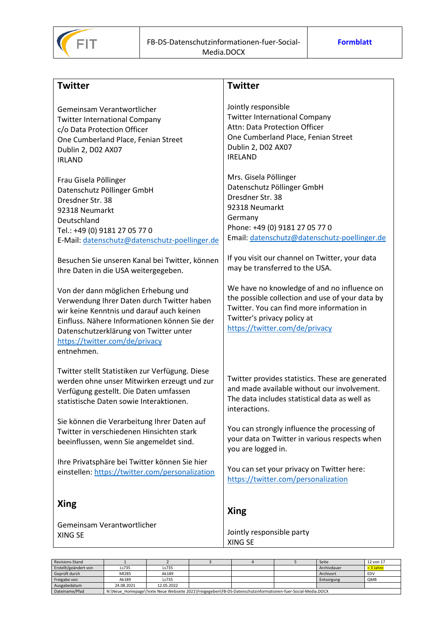

| <b>Twitter</b>                                                                                                                                                                                                                                                                                                    | <b>Twitter</b>                                                                                                                                                                                                                                 |
|-------------------------------------------------------------------------------------------------------------------------------------------------------------------------------------------------------------------------------------------------------------------------------------------------------------------|------------------------------------------------------------------------------------------------------------------------------------------------------------------------------------------------------------------------------------------------|
| Gemeinsam Verantwortlicher                                                                                                                                                                                                                                                                                        | Jointly responsible                                                                                                                                                                                                                            |
| <b>Twitter International Company</b>                                                                                                                                                                                                                                                                              | <b>Twitter International Company</b>                                                                                                                                                                                                           |
| c/o Data Protection Officer                                                                                                                                                                                                                                                                                       | Attn: Data Protection Officer                                                                                                                                                                                                                  |
| One Cumberland Place, Fenian Street                                                                                                                                                                                                                                                                               | One Cumberland Place, Fenian Street                                                                                                                                                                                                            |
| Dublin 2, D02 AX07                                                                                                                                                                                                                                                                                                | Dublin 2, D02 AX07                                                                                                                                                                                                                             |
| <b>IRLAND</b>                                                                                                                                                                                                                                                                                                     | <b>IRELAND</b>                                                                                                                                                                                                                                 |
| Frau Gisela Pöllinger                                                                                                                                                                                                                                                                                             | Mrs. Gisela Pöllinger                                                                                                                                                                                                                          |
| Datenschutz Pöllinger GmbH                                                                                                                                                                                                                                                                                        | Datenschutz Pöllinger GmbH                                                                                                                                                                                                                     |
| Dresdner Str. 38                                                                                                                                                                                                                                                                                                  | Dresdner Str. 38                                                                                                                                                                                                                               |
| 92318 Neumarkt                                                                                                                                                                                                                                                                                                    | 92318 Neumarkt                                                                                                                                                                                                                                 |
| Deutschland                                                                                                                                                                                                                                                                                                       | Germany                                                                                                                                                                                                                                        |
| Tel.: +49 (0) 9181 27 05 77 0                                                                                                                                                                                                                                                                                     | Phone: +49 (0) 9181 27 05 77 0                                                                                                                                                                                                                 |
| E-Mail: datenschutz@datenschutz-poellinger.de                                                                                                                                                                                                                                                                     | Email: datenschutz@datenschutz-poellinger.de                                                                                                                                                                                                   |
| Besuchen Sie unseren Kanal bei Twitter, können                                                                                                                                                                                                                                                                    | If you visit our channel on Twitter, your data                                                                                                                                                                                                 |
| Ihre Daten in die USA weitergegeben.<br>Von der dann möglichen Erhebung und<br>Verwendung Ihrer Daten durch Twitter haben<br>wir keine Kenntnis und darauf auch keinen<br>Einfluss. Nähere Informationen können Sie der<br>Datenschutzerklärung von Twitter unter<br>https://twitter.com/de/privacy<br>entnehmen. | may be transferred to the USA.<br>We have no knowledge of and no influence on<br>the possible collection and use of your data by<br>Twitter. You can find more information in<br>Twitter's privacy policy at<br>https://twitter.com/de/privacy |
| Twitter stellt Statistiken zur Verfügung. Diese                                                                                                                                                                                                                                                                   | Twitter provides statistics. These are generated                                                                                                                                                                                               |
| werden ohne unser Mitwirken erzeugt und zur                                                                                                                                                                                                                                                                       | and made available without our involvement.                                                                                                                                                                                                    |
| Verfügung gestellt. Die Daten umfassen                                                                                                                                                                                                                                                                            | The data includes statistical data as well as                                                                                                                                                                                                  |
| statistische Daten sowie Interaktionen.                                                                                                                                                                                                                                                                           | interactions.                                                                                                                                                                                                                                  |
| Sie können die Verarbeitung Ihrer Daten auf                                                                                                                                                                                                                                                                       | You can strongly influence the processing of                                                                                                                                                                                                   |
| Twitter in verschiedenen Hinsichten stark                                                                                                                                                                                                                                                                         | your data on Twitter in various respects when                                                                                                                                                                                                  |
| beeinflussen, wenn Sie angemeldet sind.                                                                                                                                                                                                                                                                           | you are logged in.                                                                                                                                                                                                                             |
| Ihre Privatsphäre bei Twitter können Sie hier                                                                                                                                                                                                                                                                     | You can set your privacy on Twitter here:                                                                                                                                                                                                      |
| einstellen: https://twitter.com/personalization                                                                                                                                                                                                                                                                   | https://twitter.com/personalization                                                                                                                                                                                                            |
| <b>Xing</b>                                                                                                                                                                                                                                                                                                       | <b>Xing</b>                                                                                                                                                                                                                                    |
| Gemeinsam Verantwortlicher                                                                                                                                                                                                                                                                                        | Jointly responsible party                                                                                                                                                                                                                      |
| XING SE                                                                                                                                                                                                                                                                                                           | XING SE                                                                                                                                                                                                                                        |
| Revisions-Stand<br>$\overline{2}$<br>3                                                                                                                                                                                                                                                                            | Seite<br>5<br>12 von 17<br>4                                                                                                                                                                                                                   |

| Revisions-Stand       |                                                                                                             |            |  |  |  | Seite       | 12 von 17   |
|-----------------------|-------------------------------------------------------------------------------------------------------------|------------|--|--|--|-------------|-------------|
| Erstellt/geändert von | Ls735                                                                                                       | Ls735      |  |  |  | Archivdauer | $> 3$ Jahre |
| Geprüft durch         | MI285                                                                                                       | Ak189      |  |  |  | Archivort   | <b>EDV</b>  |
| Freigabe von          | Ak189                                                                                                       | Ls735      |  |  |  | Entsorgung  | QMB         |
| Ausgabedatum          | 24.08.2021                                                                                                  | 12.05.2022 |  |  |  |             |             |
| Dateiname/Pfad        | N:\Neue Homepage\Texte Neue Webseite 2021\Freigegeben\FB-DS-Datenschutzinformationen-fuer-Social-Media.DOCX |            |  |  |  |             |             |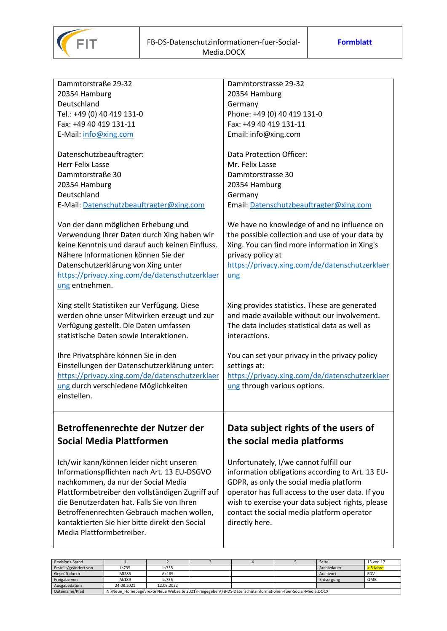

| Dammtorstraße 29-32                              | Dammtorstrasse 29-32                              |
|--------------------------------------------------|---------------------------------------------------|
| 20354 Hamburg                                    | 20354 Hamburg                                     |
| Deutschland                                      | Germany                                           |
| Tel.: +49 (0) 40 419 131-0                       | Phone: +49 (0) 40 419 131-0                       |
| Fax: +49 40 419 131-11                           | Fax: +49 40 419 131-11                            |
| E-Mail: info@xing.com                            | Email: info@xing.com                              |
|                                                  |                                                   |
| Datenschutzbeauftragter:                         | Data Protection Officer:                          |
| <b>Herr Felix Lasse</b>                          | Mr. Felix Lasse                                   |
| Dammtorstraße 30                                 | Dammtorstrasse 30                                 |
| 20354 Hamburg                                    | 20354 Hamburg                                     |
| Deutschland                                      | Germany                                           |
| E-Mail: Datenschutzbeauftragter@xing.com         | Email: Datenschutzbeauftragter@xing.com           |
|                                                  |                                                   |
| Von der dann möglichen Erhebung und              | We have no knowledge of and no influence on       |
| Verwendung Ihrer Daten durch Xing haben wir      | the possible collection and use of your data by   |
| keine Kenntnis und darauf auch keinen Einfluss.  | Xing. You can find more information in Xing's     |
| Nähere Informationen können Sie der              | privacy policy at                                 |
| Datenschutzerklärung von Xing unter              | https://privacy.xing.com/de/datenschutzerklaer    |
| https://privacy.xing.com/de/datenschutzerklaer   | ung                                               |
| ung entnehmen.                                   |                                                   |
|                                                  |                                                   |
| Xing stellt Statistiken zur Verfügung. Diese     | Xing provides statistics. These are generated     |
| werden ohne unser Mitwirken erzeugt und zur      | and made available without our involvement.       |
| Verfügung gestellt. Die Daten umfassen           | The data includes statistical data as well as     |
| statistische Daten sowie Interaktionen.          | interactions.                                     |
|                                                  |                                                   |
| Ihre Privatsphäre können Sie in den              | You can set your privacy in the privacy policy    |
| Einstellungen der Datenschutzerklärung unter:    | settings at:                                      |
| https://privacy.xing.com/de/datenschutzerklaer   | https://privacy.xing.com/de/datenschutzerklaer    |
| ung durch verschiedene Möglichkeiten             | ung through various options.                      |
| einstellen.                                      |                                                   |
|                                                  |                                                   |
|                                                  |                                                   |
| Betroffenenrechte der Nutzer der                 | Data subject rights of the users of               |
| <b>Social Media Plattformen</b>                  | the social media platforms                        |
|                                                  |                                                   |
| Ich/wir kann/können leider nicht unseren         | Unfortunately, I/we cannot fulfill our            |
| Informationspflichten nach Art. 13 EU-DSGVO      | information obligations according to Art. 13 EU-  |
| nachkommen, da nur der Social Media              | GDPR, as only the social media platform           |
| Plattformbetreiber den vollständigen Zugriff auf | operator has full access to the user data. If you |
| die Benutzerdaten hat. Falls Sie von Ihren       | wish to exercise your data subject rights, please |
| Betroffenenrechten Gebrauch machen wollen,       | contact the social media platform operator        |
| kontaktierten Sie hier bitte direkt den Social   | directly here.                                    |
| Media Plattformbetreiber.                        |                                                   |
|                                                  |                                                   |

| Revisions-Stand       |                                                                                                             |            |  |  |  | Seite       | 13 von 17 |
|-----------------------|-------------------------------------------------------------------------------------------------------------|------------|--|--|--|-------------|-----------|
| Erstellt/geändert von | Ls735                                                                                                       | Ls735      |  |  |  | Archivdauer | > 3 Jahre |
| Geprüft durch         | MI285                                                                                                       | Ak189      |  |  |  | Archivort   | EDV       |
| Freigabe von          | Ak189                                                                                                       | Ls735      |  |  |  | Entsorgung  | QMB       |
| Ausgabedatum          | 24.08.2021                                                                                                  | 12.05.2022 |  |  |  |             |           |
| Dateiname/Pfad        | N:\Neue Homepage\Texte Neue Webseite 2021\Freigegeben\FB-DS-Datenschutzinformationen-fuer-Social-Media.DOCX |            |  |  |  |             |           |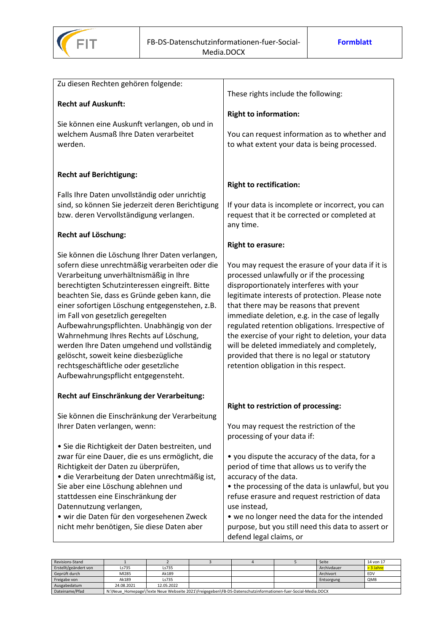

| Zu diesen Rechten gehören folgende:                                                  |                                                                                                       |
|--------------------------------------------------------------------------------------|-------------------------------------------------------------------------------------------------------|
|                                                                                      | These rights include the following:                                                                   |
| <b>Recht auf Auskunft:</b>                                                           |                                                                                                       |
|                                                                                      | <b>Right to information:</b>                                                                          |
| Sie können eine Auskunft verlangen, ob und in                                        |                                                                                                       |
| welchem Ausmaß Ihre Daten verarbeitet                                                | You can request information as to whether and                                                         |
| werden.                                                                              | to what extent your data is being processed.                                                          |
|                                                                                      |                                                                                                       |
| <b>Recht auf Berichtigung:</b>                                                       |                                                                                                       |
|                                                                                      | <b>Right to rectification:</b>                                                                        |
| Falls Ihre Daten unvollständig oder unrichtig                                        |                                                                                                       |
| sind, so können Sie jederzeit deren Berichtigung                                     | If your data is incomplete or incorrect, you can                                                      |
| bzw. deren Vervollständigung verlangen.                                              | request that it be corrected or completed at                                                          |
|                                                                                      | any time.                                                                                             |
| Recht auf Löschung:                                                                  |                                                                                                       |
|                                                                                      | <b>Right to erasure:</b>                                                                              |
| Sie können die Löschung Ihrer Daten verlangen,                                       |                                                                                                       |
| sofern diese unrechtmäßig verarbeiten oder die                                       | You may request the erasure of your data if it is                                                     |
| Verarbeitung unverhältnismäßig in Ihre                                               | processed unlawfully or if the processing                                                             |
| berechtigten Schutzinteressen eingreift. Bitte                                       | disproportionately interferes with your                                                               |
| beachten Sie, dass es Gründe geben kann, die                                         | legitimate interests of protection. Please note                                                       |
| einer sofortigen Löschung entgegenstehen, z.B.                                       | that there may be reasons that prevent                                                                |
| im Fall von gesetzlich geregelten                                                    | immediate deletion, e.g. in the case of legally                                                       |
| Aufbewahrungspflichten. Unabhängig von der<br>Wahrnehmung Ihres Rechts auf Löschung, | regulated retention obligations. Irrespective of<br>the exercise of your right to deletion, your data |
| werden Ihre Daten umgehend und vollständig                                           | will be deleted immediately and completely,                                                           |
| gelöscht, soweit keine diesbezügliche                                                | provided that there is no legal or statutory                                                          |
| rechtsgeschäftliche oder gesetzliche                                                 | retention obligation in this respect.                                                                 |
| Aufbewahrungspflicht entgegensteht.                                                  |                                                                                                       |
|                                                                                      |                                                                                                       |
| Recht auf Einschränkung der Verarbeitung:                                            |                                                                                                       |
|                                                                                      | <b>Right to restriction of processing:</b>                                                            |
| Sie können die Einschränkung der Verarbeitung                                        |                                                                                                       |
| Ihrer Daten verlangen, wenn:                                                         | You may request the restriction of the                                                                |
|                                                                                      | processing of your data if:                                                                           |
| · Sie die Richtigkeit der Daten bestreiten, und                                      |                                                                                                       |
| zwar für eine Dauer, die es uns ermöglicht, die                                      | • you dispute the accuracy of the data, for a                                                         |
| Richtigkeit der Daten zu überprüfen,                                                 | period of time that allows us to verify the                                                           |
| · die Verarbeitung der Daten unrechtmäßig ist,                                       | accuracy of the data.                                                                                 |
| Sie aber eine Löschung ablehnen und<br>stattdessen eine Einschränkung der            | • the processing of the data is unlawful, but you<br>refuse erasure and request restriction of data   |
| Datennutzung verlangen,                                                              | use instead,                                                                                          |
| · wir die Daten für den vorgesehenen Zweck                                           | • we no longer need the data for the intended                                                         |
| nicht mehr benötigen, Sie diese Daten aber                                           | purpose, but you still need this data to assert or                                                    |
|                                                                                      | defend legal claims, or                                                                               |
|                                                                                      |                                                                                                       |

| Revisions-Stand       |                                                                                                             |            |  |  |  | Seite       | 14 von 17 |
|-----------------------|-------------------------------------------------------------------------------------------------------------|------------|--|--|--|-------------|-----------|
| Erstellt/geändert von | Ls735                                                                                                       | Ls735      |  |  |  | Archivdauer | > 3 Jahre |
| Geprüft durch         | MI285                                                                                                       | Ak189      |  |  |  | Archivort   | EDV       |
| Freigabe von          | Ak189                                                                                                       | Ls735      |  |  |  | Entsorgung  | QMB       |
| Ausgabedatum          | 24.08.2021                                                                                                  | 12.05.2022 |  |  |  |             |           |
| Dateiname/Pfad        | N:\Neue Homepage\Texte Neue Webseite 2021\Freigegeben\FB-DS-Datenschutzinformationen-fuer-Social-Media.DOCX |            |  |  |  |             |           |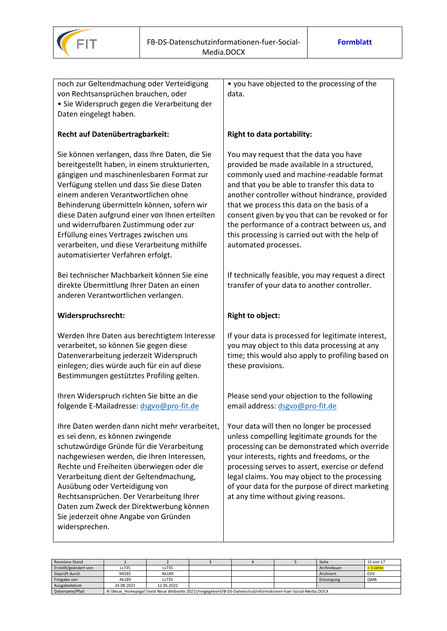

| noch zur Geltendmachung oder Verteidigung<br>von Rechtsansprüchen brauchen, oder                                                                                                                                                                                                                                                                                                                                                                                                                            | • you have objected to the processing of the<br>data.                                                                                                                                                                                                                                                                                                                                                                                                               |
|-------------------------------------------------------------------------------------------------------------------------------------------------------------------------------------------------------------------------------------------------------------------------------------------------------------------------------------------------------------------------------------------------------------------------------------------------------------------------------------------------------------|---------------------------------------------------------------------------------------------------------------------------------------------------------------------------------------------------------------------------------------------------------------------------------------------------------------------------------------------------------------------------------------------------------------------------------------------------------------------|
| · Sie Widerspruch gegen die Verarbeitung der<br>Daten eingelegt haben.                                                                                                                                                                                                                                                                                                                                                                                                                                      |                                                                                                                                                                                                                                                                                                                                                                                                                                                                     |
| Recht auf Datenübertragbarkeit:                                                                                                                                                                                                                                                                                                                                                                                                                                                                             | <b>Right to data portability:</b>                                                                                                                                                                                                                                                                                                                                                                                                                                   |
| Sie können verlangen, dass Ihre Daten, die Sie<br>bereitgestellt haben, in einem strukturierten,<br>gängigen und maschinenlesbaren Format zur<br>Verfügung stellen und dass Sie diese Daten<br>einem anderen Verantwortlichen ohne<br>Behinderung übermitteln können, sofern wir<br>diese Daten aufgrund einer von Ihnen erteilten<br>und widerrufbaren Zustimmung oder zur<br>Erfüllung eines Vertrages zwischen uns<br>verarbeiten, und diese Verarbeitung mithilfe<br>automatisierter Verfahren erfolgt. | You may request that the data you have<br>provided be made available in a structured,<br>commonly used and machine-readable format<br>and that you be able to transfer this data to<br>another controller without hindrance, provided<br>that we process this data on the basis of a<br>consent given by you that can be revoked or for<br>the performance of a contract between us, and<br>this processing is carried out with the help of<br>automated processes. |
| Bei technischer Machbarkeit können Sie eine<br>direkte Übermittlung Ihrer Daten an einen<br>anderen Verantwortlichen verlangen.                                                                                                                                                                                                                                                                                                                                                                             | If technically feasible, you may request a direct<br>transfer of your data to another controller.                                                                                                                                                                                                                                                                                                                                                                   |
| Widerspruchsrecht:                                                                                                                                                                                                                                                                                                                                                                                                                                                                                          | <b>Right to object:</b>                                                                                                                                                                                                                                                                                                                                                                                                                                             |
| Werden Ihre Daten aus berechtigtem Interesse<br>verarbeitet, so können Sie gegen diese<br>Datenverarbeitung jederzeit Widerspruch<br>einlegen; dies würde auch für ein auf diese<br>Bestimmungen gestütztes Profiling gelten.                                                                                                                                                                                                                                                                               | If your data is processed for legitimate interest,<br>you may object to this data processing at any<br>time; this would also apply to profiling based on<br>these provisions.                                                                                                                                                                                                                                                                                       |
| Ihren Widerspruch richten Sie bitte an die<br>folgende E-Mailadresse: dsgvo@pro-fit.de                                                                                                                                                                                                                                                                                                                                                                                                                      | Please send your objection to the following<br>email address: dsgvo@pro-fit.de                                                                                                                                                                                                                                                                                                                                                                                      |
| Ihre Daten werden dann nicht mehr verarbeitet,<br>es sei denn, es können zwingende<br>schutzwürdige Gründe für die Verarbeitung<br>nachgewiesen werden, die Ihren Interessen,<br>Rechte und Freiheiten überwiegen oder die<br>Verarbeitung dient der Geltendmachung,<br>Ausübung oder Verteidigung von<br>Rechtsansprüchen. Der Verarbeitung Ihrer<br>Daten zum Zweck der Direktwerbung können<br>Sie jederzeit ohne Angabe von Gründen                                                                     | Your data will then no longer be processed<br>unless compelling legitimate grounds for the<br>processing can be demonstrated which override<br>your interests, rights and freedoms, or the<br>processing serves to assert, exercise or defend<br>legal claims. You may object to the processing<br>of your data for the purpose of direct marketing<br>at any time without giving reasons.                                                                          |

| Revisions-Stand       |                                                                                                             |            |  |  |  | Seite       | 15 von 17 |
|-----------------------|-------------------------------------------------------------------------------------------------------------|------------|--|--|--|-------------|-----------|
| Erstellt/geändert von | Ls735                                                                                                       | Ls735      |  |  |  | Archivdauer | > 3 Jahre |
| Geprüft durch         | MI285                                                                                                       | Ak189      |  |  |  | Archivort   | EDV       |
| Freigabe von          | Ak189                                                                                                       | Ls735      |  |  |  | Entsorgung  | QMB       |
| Ausgabedatum          | 24.08.2021                                                                                                  | 12.05.2022 |  |  |  |             |           |
| Dateiname/Pfad        | N:\Neue Homepage\Texte Neue Webseite 2021\Freigegeben\FB-DS-Datenschutzinformationen-fuer-Social-Media.DOCX |            |  |  |  |             |           |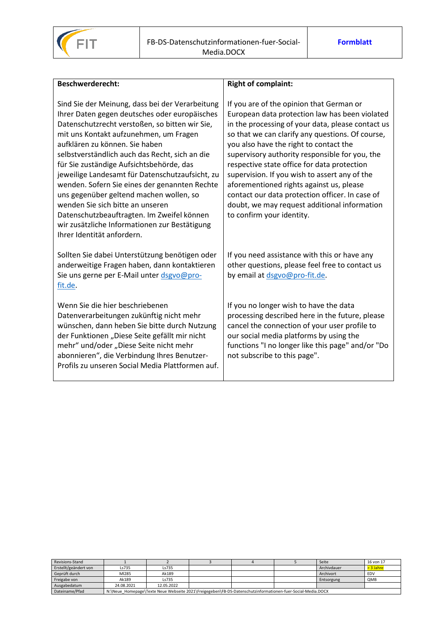

| <b>Beschwerderecht:</b>                                                                                                                                                                                                                                                                                                                                                                                                                                                                                                                                                                                                                      | <b>Right of complaint:</b>                                                                                                                                                                                                                                                                                                                                                                                                                                                                                                                                                  |  |  |  |  |
|----------------------------------------------------------------------------------------------------------------------------------------------------------------------------------------------------------------------------------------------------------------------------------------------------------------------------------------------------------------------------------------------------------------------------------------------------------------------------------------------------------------------------------------------------------------------------------------------------------------------------------------------|-----------------------------------------------------------------------------------------------------------------------------------------------------------------------------------------------------------------------------------------------------------------------------------------------------------------------------------------------------------------------------------------------------------------------------------------------------------------------------------------------------------------------------------------------------------------------------|--|--|--|--|
| Sind Sie der Meinung, dass bei der Verarbeitung<br>Ihrer Daten gegen deutsches oder europäisches<br>Datenschutzrecht verstoßen, so bitten wir Sie,<br>mit uns Kontakt aufzunehmen, um Fragen<br>aufklären zu können. Sie haben<br>selbstverständlich auch das Recht, sich an die<br>für Sie zuständige Aufsichtsbehörde, das<br>jeweilige Landesamt für Datenschutzaufsicht, zu<br>wenden. Sofern Sie eines der genannten Rechte<br>uns gegenüber geltend machen wollen, so<br>wenden Sie sich bitte an unseren<br>Datenschutzbeauftragten. Im Zweifel können<br>wir zusätzliche Informationen zur Bestätigung<br>Ihrer Identität anfordern. | If you are of the opinion that German or<br>European data protection law has been violated<br>in the processing of your data, please contact us<br>so that we can clarify any questions. Of course,<br>you also have the right to contact the<br>supervisory authority responsible for you, the<br>respective state office for data protection<br>supervision. If you wish to assert any of the<br>aforementioned rights against us, please<br>contact our data protection officer. In case of<br>doubt, we may request additional information<br>to confirm your identity. |  |  |  |  |
| Sollten Sie dabei Unterstützung benötigen oder<br>anderweitige Fragen haben, dann kontaktieren<br>Sie uns gerne per E-Mail unter dsgvo@pro-<br>fit.de.                                                                                                                                                                                                                                                                                                                                                                                                                                                                                       | If you need assistance with this or have any<br>other questions, please feel free to contact us<br>by email at dsgvo@pro-fit.de.                                                                                                                                                                                                                                                                                                                                                                                                                                            |  |  |  |  |
| Wenn Sie die hier beschriebenen<br>Datenverarbeitungen zukünftig nicht mehr<br>wünschen, dann heben Sie bitte durch Nutzung<br>der Funktionen "Diese Seite gefällt mir nicht<br>mehr" und/oder "Diese Seite nicht mehr<br>abonnieren", die Verbindung Ihres Benutzer-<br>Profils zu unseren Social Media Plattformen auf.                                                                                                                                                                                                                                                                                                                    | If you no longer wish to have the data<br>processing described here in the future, please<br>cancel the connection of your user profile to<br>our social media platforms by using the<br>functions "I no longer like this page" and/or "Do<br>not subscribe to this page".                                                                                                                                                                                                                                                                                                  |  |  |  |  |

| Revisions-Stand       |                                                                                                             |            |  |  |  | Seite       | 16 von 17 |
|-----------------------|-------------------------------------------------------------------------------------------------------------|------------|--|--|--|-------------|-----------|
| Erstellt/geändert von | Ls735                                                                                                       | Ls735      |  |  |  | Archivdauer | > 3 Jahre |
| Geprüft durch         | MI285                                                                                                       | Ak189      |  |  |  | Archivort   | EDV       |
| Freigabe von          | Ak189                                                                                                       | Ls735      |  |  |  | Entsorgung  | QMB       |
| Ausgabedatum          | 24.08.2021                                                                                                  | 12.05.2022 |  |  |  |             |           |
| Dateiname/Pfad        | N:\Neue Homepage\Texte Neue Webseite 2021\Freigegeben\FB-DS-Datenschutzinformationen-fuer-Social-Media.DOCX |            |  |  |  |             |           |